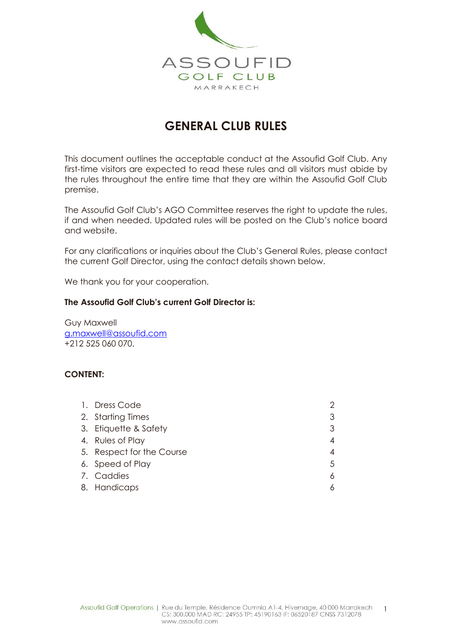

# **GENERAL CLUB RULES**

This document outlines the acceptable conduct at the Assoufid Golf Club. Any first-time visitors are expected to read these rules and all visitors must abide by the rules throughout the entire time that they are within the Assoufid Golf Club premise.

The Assoufid Golf Club's AGO Committee reserves the right to update the rules, if and when needed. Updated rules will be posted on the Club's notice board and website.

For any clarifications or inquiries about the Club's General Rules, please contact the current Golf Director, using the contact details shown below.

We thank you for your cooperation.

#### **The Assoufid Golf Club's current Golf Director is:**

Guy Maxwell [g.maxwell@assoufid.com](mailto:g.maxwell@assoufid.com) +212 525 060 070.

#### **CONTENT:**

| 1. Dress Code             |    |
|---------------------------|----|
| 2. Starting Times         | 3  |
| 3. Etiquette & Safety     |    |
| 4. Rules of Play          | 4  |
| 5. Respect for the Course | 4  |
| 6. Speed of Play          | .5 |
| 7. Caddies                | 6  |
| 8. Handicaps              |    |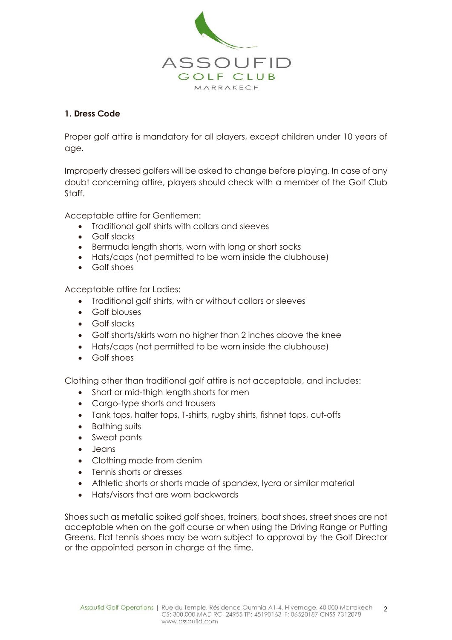

### **1. Dress Code**

Proper golf attire is mandatory for all players, except children under 10 years of age.

Improperly dressed golfers will be asked to change before playing. In case of any doubt concerning attire, players should check with a member of the Golf Club Staff.

Acceptable attire for Gentlemen:

- Traditional golf shirts with collars and sleeves
- Golf slacks
- Bermuda length shorts, worn with long or short socks
- Hats/caps (not permitted to be worn inside the clubhouse)
- Golf shoes

Acceptable attire for Ladies:

- Traditional golf shirts, with or without collars or sleeves
- Golf blouses
- Golf slacks
- Golf shorts/skirts worn no higher than 2 inches above the knee
- Hats/caps (not permitted to be worn inside the clubhouse)
- Golf shoes

Clothing other than traditional golf attire is not acceptable, and includes:

- Short or mid-thigh length shorts for men
- Cargo-type shorts and trousers
- Tank tops, halter tops, T-shirts, rugby shirts, fishnet tops, cut-offs
- Bathing suits
- Sweat pants
- **•** Jeans
- Clothing made from denim
- Tennis shorts or dresses
- Athletic shorts or shorts made of spandex, lycra or similar material
- Hats/visors that are worn backwards

Shoes such as metallic spiked golf shoes, trainers, boat shoes, street shoes are not acceptable when on the golf course or when using the Driving Range or Putting Greens. Flat tennis shoes may be worn subject to approval by the Golf Director or the appointed person in charge at the time.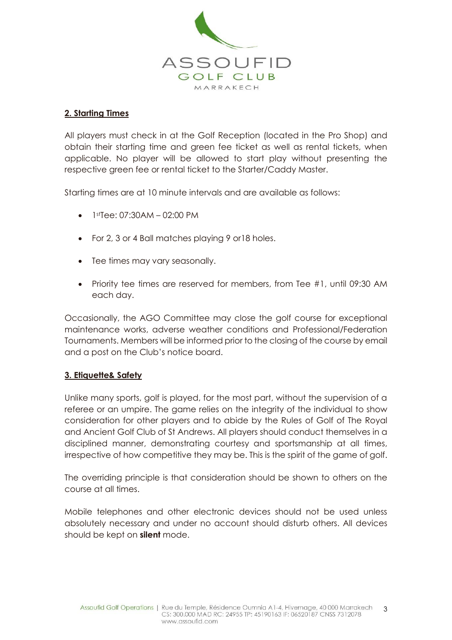

### **2. Starting Times**

All players must check in at the Golf Reception (located in the Pro Shop) and obtain their starting time and green fee ticket as well as rental tickets, when applicable. No player will be allowed to start play without presenting the respective green fee or rental ticket to the Starter/Caddy Master.

Starting times are at 10 minute intervals and are available as follows:

- $\bullet$  1stTee: 07:30AM 02:00 PM
- For 2, 3 or 4 Ball matches playing 9 or18 holes.
- Tee times may vary seasonally.
- Priority tee times are reserved for members, from Tee #1, until 09:30 AM each day.

Occasionally, the AGO Committee may close the golf course for exceptional maintenance works, adverse weather conditions and Professional/Federation Tournaments. Members will be informed prior to the closing of the course by email and a post on the Club's notice board.

#### **3. Etiquette& Safety**

Unlike many sports, golf is played, for the most part, without the supervision of a referee or an umpire. The game relies on the integrity of the individual to show consideration for other players and to abide by the Rules of Golf of The Royal and Ancient Golf Club of St Andrews. All players should conduct themselves in a disciplined manner, demonstrating courtesy and sportsmanship at all times, irrespective of how competitive they may be. This is the spirit of the game of golf.

The overriding principle is that consideration should be shown to others on the course at all times.

Mobile telephones and other electronic devices should not be used unless absolutely necessary and under no account should disturb others. All devices should be kept on **silent** mode.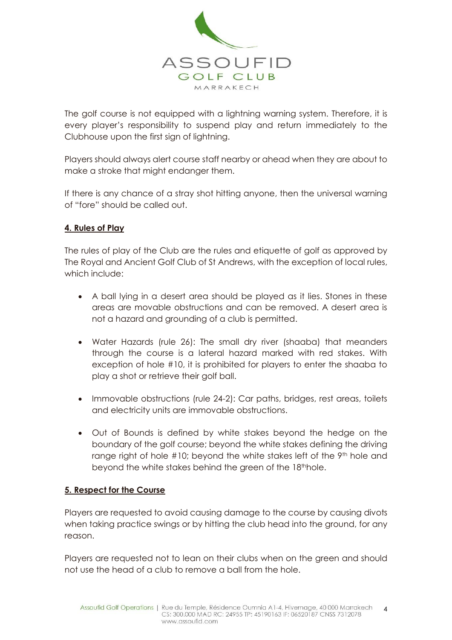

The golf course is not equipped with a lightning warning system. Therefore, it is every player's responsibility to suspend play and return immediately to the Clubhouse upon the first sign of lightning.

Players should always alert course staff nearby or ahead when they are about to make a stroke that might endanger them.

If there is any chance of a stray shot hitting anyone, then the universal warning of "fore" should be called out.

#### **4. Rules of Play**

The rules of play of the Club are the rules and etiquette of golf as approved by The Royal and Ancient Golf Club of St Andrews, with the exception of local rules, which include:

- A ball lying in a desert area should be played as it lies. Stones in these areas are movable obstructions and can be removed. A desert area is not a hazard and grounding of a club is permitted.
- Water Hazards (rule 26): The small dry river (shaaba) that meanders through the course is a lateral hazard marked with red stakes. With exception of hole #10, it is prohibited for players to enter the shaaba to play a shot or retrieve their golf ball.
- Immovable obstructions (rule 24-2): Car paths, bridges, rest areas, toilets and electricity units are immovable obstructions.
- Out of Bounds is defined by white stakes beyond the hedge on the boundary of the golf course; beyond the white stakes defining the driving range right of hole #10; beyond the white stakes left of the 9th hole and beyond the white stakes behind the green of the 18th hole.

#### **5. Respect for the Course**

Players are requested to avoid causing damage to the course by causing divots when taking practice swings or by hitting the club head into the ground, for any reason.

Players are requested not to lean on their clubs when on the green and should not use the head of a club to remove a ball from the hole.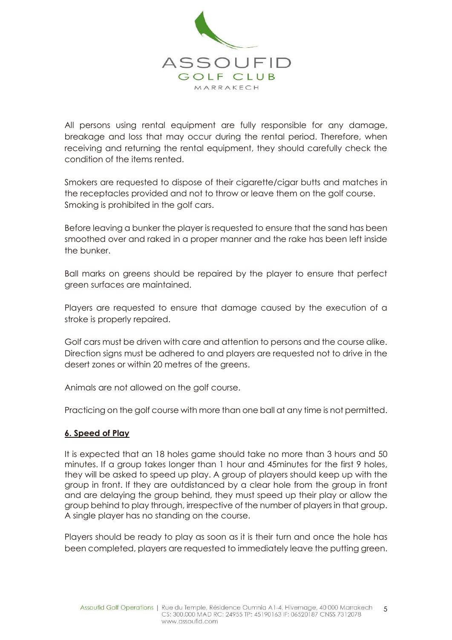

All persons using rental equipment are fully responsible for any damage, breakage and loss that may occur during the rental period. Therefore, when receiving and returning the rental equipment, they should carefully check the condition of the items rented.

Smokers are requested to dispose of their cigarette/cigar butts and matches in the receptacles provided and not to throw or leave them on the golf course. Smoking is prohibited in the golf cars.

Before leaving a bunker the player is requested to ensure that the sand has been smoothed over and raked in a proper manner and the rake has been left inside the bunker.

Ball marks on greens should be repaired by the player to ensure that perfect green surfaces are maintained.

Players are requested to ensure that damage caused by the execution of a stroke is properly repaired.

Golf cars must be driven with care and attention to persons and the course alike. Direction signs must be adhered to and players are requested not to drive in the desert zones or within 20 metres of the greens.

Animals are not allowed on the golf course.

Practicing on the golf course with more than one ball at any time is not permitted.

#### **6. Speed of Play**

It is expected that an 18 holes game should take no more than 3 hours and 50 minutes. If a group takes longer than 1 hour and 45minutes for the first 9 holes, they will be asked to speed up play. A group of players should keep up with the group in front. If they are outdistanced by a clear hole from the group in front and are delaying the group behind, they must speed up their play or allow the group behind to play through, irrespective of the number of players in that group. A single player has no standing on the course.

Players should be ready to play as soon as it is their turn and once the hole has been completed, players are requested to immediately leave the putting green.